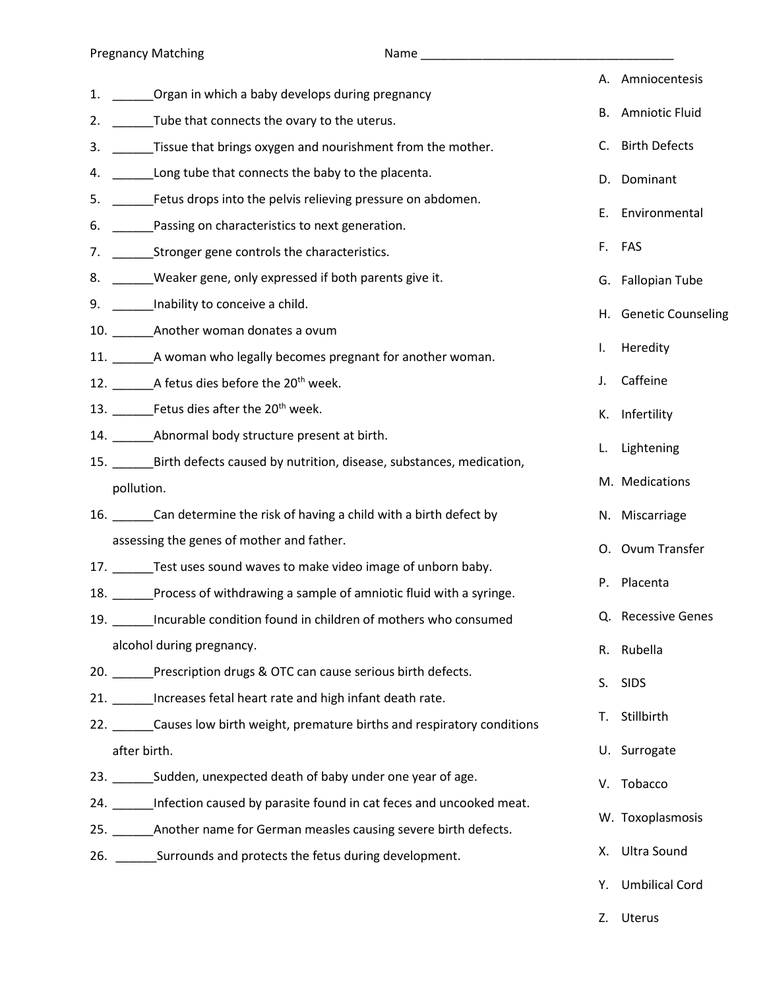|    |                                                                                |    | A. Amniocentesis         |
|----|--------------------------------------------------------------------------------|----|--------------------------|
| 1. | _Organ in which a baby develops during pregnancy                               |    | <b>B.</b> Amniotic Fluid |
| 2. | Tube that connects the ovary to the uterus.                                    |    |                          |
| 3. | Tissue that brings oxygen and nourishment from the mother.                     | C. | <b>Birth Defects</b>     |
| 4. | Long tube that connects the baby to the placenta.                              | D. | Dominant                 |
| 5. | Fetus drops into the pelvis relieving pressure on abdomen.                     | Е. | Environmental            |
| 6. | Passing on characteristics to next generation.                                 |    |                          |
| 7. | Stronger gene controls the characteristics.                                    |    | F. FAS                   |
| 8. | Weaker gene, only expressed if both parents give it.                           |    | G. Fallopian Tube        |
|    | 9. Inability to conceive a child.                                              |    | H. Genetic Counseling    |
|    | 10. Another woman donates a ovum                                               |    |                          |
|    | 11. A woman who legally becomes pregnant for another woman.                    | I. | Heredity                 |
|    | 12. A fetus dies before the 20 <sup>th</sup> week.                             | J. | Caffeine                 |
|    | 13. Fetus dies after the 20 <sup>th</sup> week.                                | К. | Infertility              |
|    | 14. _______ Abnormal body structure present at birth.                          | L. | Lightening               |
|    | 15. Birth defects caused by nutrition, disease, substances, medication,        |    |                          |
|    | pollution.                                                                     |    | M. Medications           |
|    | 16. _______Can determine the risk of having a child with a birth defect by     |    | N. Miscarriage           |
|    | assessing the genes of mother and father.                                      | 0. | Ovum Transfer            |
|    | 17. Test uses sound waves to make video image of unborn baby.                  |    |                          |
|    | 18. Process of withdrawing a sample of amniotic fluid with a syringe.          | P. | Placenta                 |
|    | 19. Incurable condition found in children of mothers who consumed              |    | Q. Recessive Genes       |
|    | alcohol during pregnancy.                                                      |    | R. Rubella               |
|    | 20. Prescription drugs & OTC can cause serious birth defects.                  | S. | <b>SIDS</b>              |
|    | 21. ______ Increases fetal heart rate and high infant death rate.              |    |                          |
|    | 22. ______Causes low birth weight, premature births and respiratory conditions | Т. | Stillbirth               |
|    | after birth.                                                                   |    | U. Surrogate             |
|    | 23. Sudden, unexpected death of baby under one year of age.                    |    | V. Tobacco               |
|    | 24. _____Infection caused by parasite found in cat feces and uncooked meat.    |    |                          |
|    | 25. ________ Another name for German measles causing severe birth defects.     |    | W. Toxoplasmosis         |
|    | 26. Surrounds and protects the fetus during development.                       | Х. | Ultra Sound              |
|    |                                                                                | Y. | <b>Umbilical Cord</b>    |

Z. Uterus